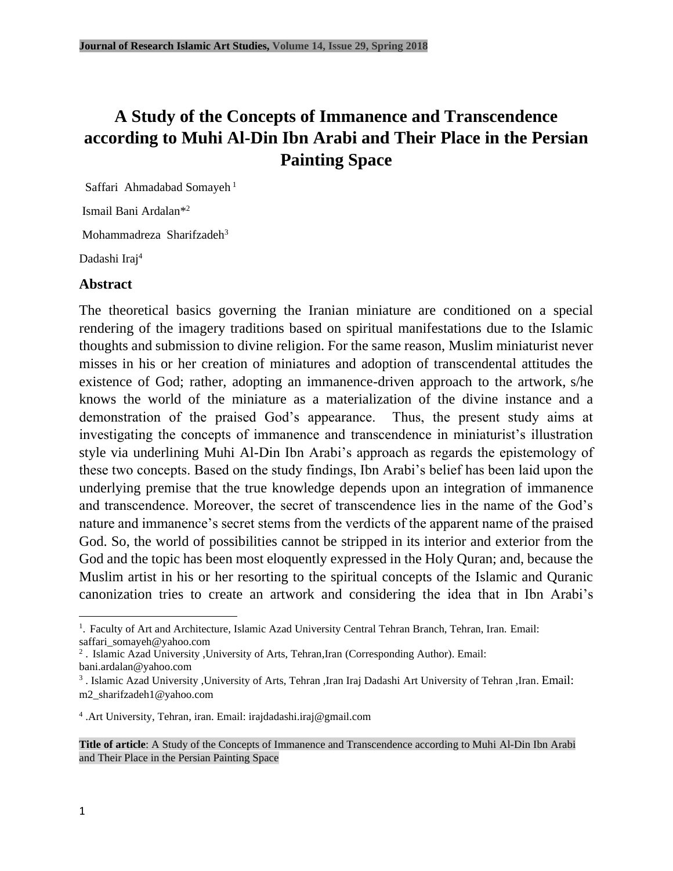# **A Study of the Concepts of Immanence and Transcendence according to Muhi Al-Din Ibn Arabi and Their Place in the Persian Painting Space**

Saffari Ahmadabad Somayeh<sup>1</sup>

Ismail Bani Ardalan<sup>\*2</sup>

Mohammadreza Sharifzadeh<sup>3</sup>

Dadashi Iraj<sup>4</sup>

#### **Abstract**

The theoretical basics governing the Iranian miniature are conditioned on a special rendering of the imagery traditions based on spiritual manifestations due to the Islamic thoughts and submission to divine religion. For the same reason, Muslim miniaturist never misses in his or her creation of miniatures and adoption of transcendental attitudes the existence of God; rather, adopting an immanence-driven approach to the artwork, s/he knows the world of the miniature as a materialization of the divine instance and a demonstration of the praised God's appearance. Thus, the present study aims at investigating the concepts of immanence and transcendence in miniaturist's illustration style via underlining Muhi Al-Din Ibn Arabi's approach as regards the epistemology of these two concepts. Based on the study findings, Ibn Arabi's belief has been laid upon the underlying premise that the true knowledge depends upon an integration of immanence and transcendence. Moreover, the secret of transcendence lies in the name of the God's nature and immanence's secret stems from the verdicts of the apparent name of the praised God. So, the world of possibilities cannot be stripped in its interior and exterior from the God and the topic has been most eloquently expressed in the Holy Quran; and, because the Muslim artist in his or her resorting to the spiritual concepts of the Islamic and Quranic canonization tries to create an artwork and considering the idea that in Ibn Arabi's

<sup>2</sup>. Islamic Azad University ,University of Arts, Tehran,Iran (Corresponding Author). Email:

4 .Art University, Tehran, iran. Email: irajdadashi.iraj@gmail.com



<sup>&</sup>lt;sup>1</sup>. Faculty of Art and Architecture, Islamic Azad University Central Tehran Branch, Tehran, Iran. Email: saffari\_somayeh@yahoo.com

bani.ardalan@yahoo.com

<sup>&</sup>lt;sup>3</sup>. Islamic Azad University ,University of Arts, Tehran ,Iran Iraj Dadashi Art University of Tehran ,Iran. Email: m2\_sharifzadeh1@yahoo.com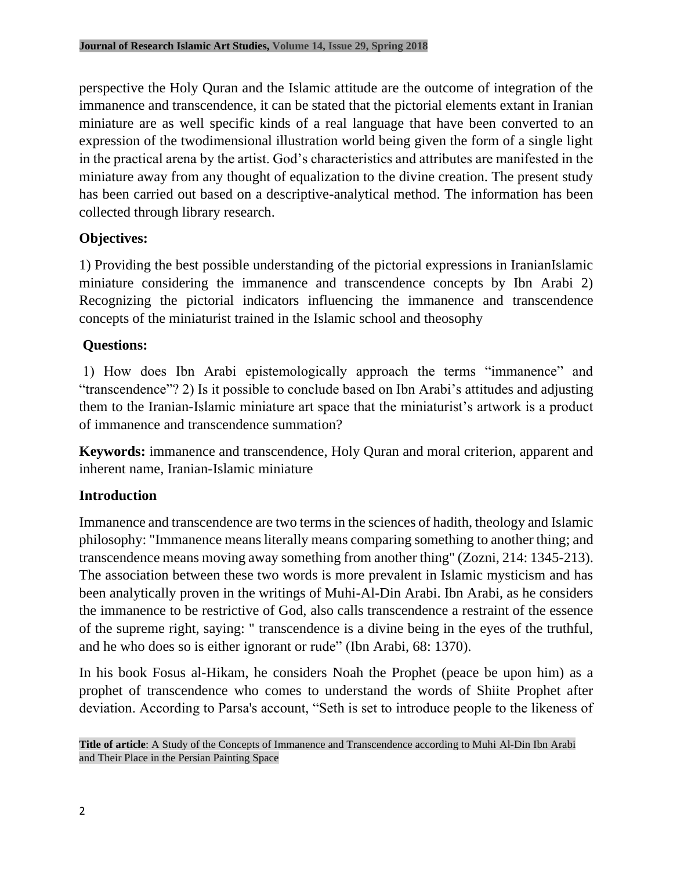perspective the Holy Quran and the Islamic attitude are the outcome of integration of the immanence and transcendence, it can be stated that the pictorial elements extant in Iranian miniature are as well specific kinds of a real language that have been converted to an expression of the twodimensional illustration world being given the form of a single light in the practical arena by the artist. God's characteristics and attributes are manifested in the miniature away from any thought of equalization to the divine creation. The present study has been carried out based on a descriptive-analytical method. The information has been collected through library research.

## **Objectives:**

1) Providing the best possible understanding of the pictorial expressions in IranianIslamic miniature considering the immanence and transcendence concepts by Ibn Arabi 2) Recognizing the pictorial indicators influencing the immanence and transcendence concepts of the miniaturist trained in the Islamic school and theosophy

# **Questions:**

1) How does Ibn Arabi epistemologically approach the terms "immanence" and "transcendence"? 2) Is it possible to conclude based on Ibn Arabi's attitudes and adjusting them to the Iranian-Islamic miniature art space that the miniaturist's artwork is a product of immanence and transcendence summation?

**Keywords:** immanence and transcendence, Holy Quran and moral criterion, apparent and inherent name, Iranian-Islamic miniature

## **Introduction**

Immanence and transcendence are two terms in the sciences of hadith, theology and Islamic philosophy: "Immanence means literally means comparing something to another thing; and transcendence means moving away something from another thing" (Zozni, 214: 1345-213). The association between these two words is more prevalent in Islamic mysticism and has been analytically proven in the writings of Muhi-Al-Din Arabi. Ibn Arabi, as he considers the immanence to be restrictive of God, also calls transcendence a restraint of the essence of the supreme right, saying: " transcendence is a divine being in the eyes of the truthful, and he who does so is either ignorant or rude" (Ibn Arabi, 68: 1370).

In his book Fosus al-Hikam, he considers Noah the Prophet (peace be upon him) as a prophet of transcendence who comes to understand the words of Shiite Prophet after deviation. According to Parsa's account, "Seth is set to introduce people to the likeness of

**Title of article**: A Study of the Concepts of Immanence and Transcendence according to Muhi Al-Din Ibn Arabi and Their Place in the Persian Painting Space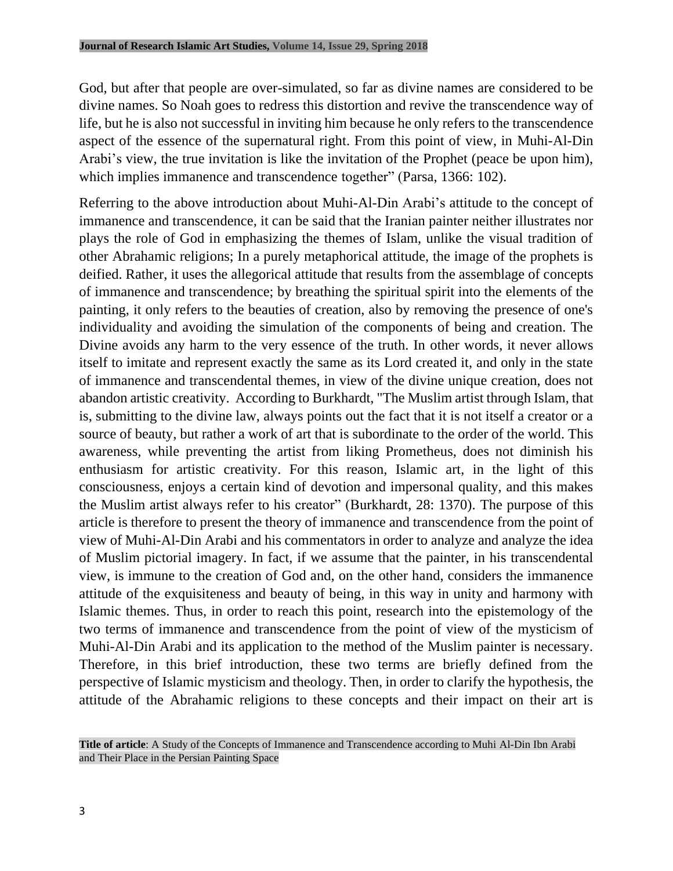God, but after that people are over-simulated, so far as divine names are considered to be divine names. So Noah goes to redress this distortion and revive the transcendence way of life, but he is also not successful in inviting him because he only refers to the transcendence aspect of the essence of the supernatural right. From this point of view, in Muhi-Al-Din Arabi's view, the true invitation is like the invitation of the Prophet (peace be upon him), which implies immanence and transcendence together" (Parsa, 1366: 102).

Referring to the above introduction about Muhi-Al-Din Arabi's attitude to the concept of immanence and transcendence, it can be said that the Iranian painter neither illustrates nor plays the role of God in emphasizing the themes of Islam, unlike the visual tradition of other Abrahamic religions; In a purely metaphorical attitude, the image of the prophets is deified. Rather, it uses the allegorical attitude that results from the assemblage of concepts of immanence and transcendence; by breathing the spiritual spirit into the elements of the painting, it only refers to the beauties of creation, also by removing the presence of one's individuality and avoiding the simulation of the components of being and creation. The Divine avoids any harm to the very essence of the truth. In other words, it never allows itself to imitate and represent exactly the same as its Lord created it, and only in the state of immanence and transcendental themes, in view of the divine unique creation, does not abandon artistic creativity. According to Burkhardt, "The Muslim artist through Islam, that is, submitting to the divine law, always points out the fact that it is not itself a creator or a source of beauty, but rather a work of art that is subordinate to the order of the world. This awareness, while preventing the artist from liking Prometheus, does not diminish his enthusiasm for artistic creativity. For this reason, Islamic art, in the light of this consciousness, enjoys a certain kind of devotion and impersonal quality, and this makes the Muslim artist always refer to his creator" (Burkhardt, 28: 1370). The purpose of this article is therefore to present the theory of immanence and transcendence from the point of view of Muhi-Al-Din Arabi and his commentators in order to analyze and analyze the idea of Muslim pictorial imagery. In fact, if we assume that the painter, in his transcendental view, is immune to the creation of God and, on the other hand, considers the immanence attitude of the exquisiteness and beauty of being, in this way in unity and harmony with Islamic themes. Thus, in order to reach this point, research into the epistemology of the two terms of immanence and transcendence from the point of view of the mysticism of Muhi-Al-Din Arabi and its application to the method of the Muslim painter is necessary. Therefore, in this brief introduction, these two terms are briefly defined from the perspective of Islamic mysticism and theology. Then, in order to clarify the hypothesis, the attitude of the Abrahamic religions to these concepts and their impact on their art is

**Title of article**: A Study of the Concepts of Immanence and Transcendence according to Muhi Al-Din Ibn Arabi and Their Place in the Persian Painting Space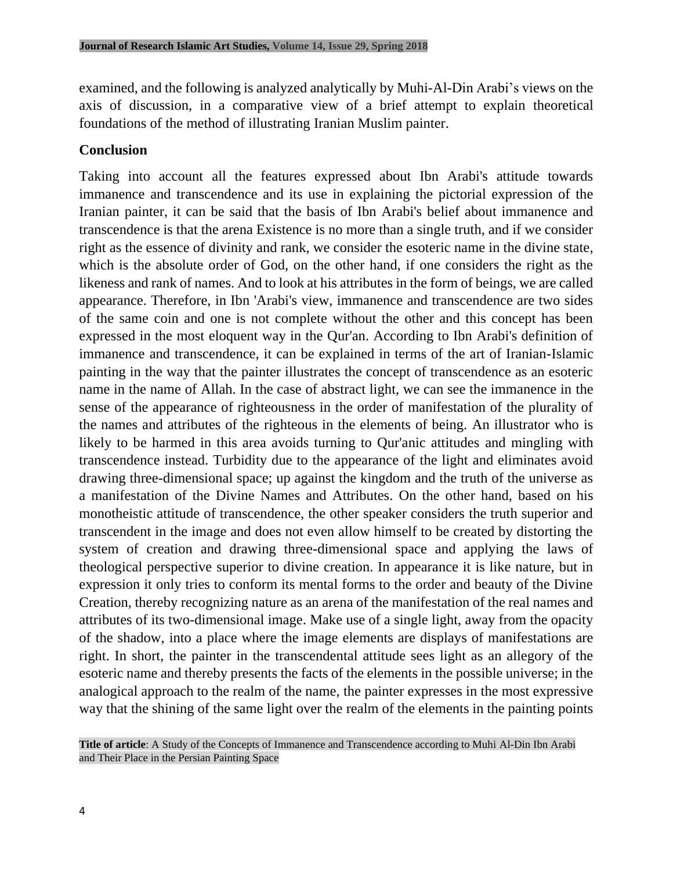examined, and the following is analyzed analytically by Muhi-Al-Din Arabi's views on the axis of discussion, in a comparative view of a brief attempt to explain theoretical foundations of the method of illustrating Iranian Muslim painter.

#### **Conclusion**

Taking into account all the features expressed about Ibn Arabi's attitude towards immanence and transcendence and its use in explaining the pictorial expression of the Iranian painter, it can be said that the basis of Ibn Arabi's belief about immanence and transcendence is that the arena Existence is no more than a single truth, and if we consider right as the essence of divinity and rank, we consider the esoteric name in the divine state, which is the absolute order of God, on the other hand, if one considers the right as the likeness and rank of names. And to look at his attributes in the form of beings, we are called appearance. Therefore, in Ibn 'Arabi's view, immanence and transcendence are two sides of the same coin and one is not complete without the other and this concept has been expressed in the most eloquent way in the Qur'an. According to Ibn Arabi's definition of immanence and transcendence, it can be explained in terms of the art of Iranian-Islamic painting in the way that the painter illustrates the concept of transcendence as an esoteric name in the name of Allah. In the case of abstract light, we can see the immanence in the sense of the appearance of righteousness in the order of manifestation of the plurality of the names and attributes of the righteous in the elements of being. An illustrator who is likely to be harmed in this area avoids turning to Qur'anic attitudes and mingling with transcendence instead. Turbidity due to the appearance of the light and eliminates avoid drawing three-dimensional space; up against the kingdom and the truth of the universe as a manifestation of the Divine Names and Attributes. On the other hand, based on his monotheistic attitude of transcendence, the other speaker considers the truth superior and transcendent in the image and does not even allow himself to be created by distorting the system of creation and drawing three-dimensional space and applying the laws of theological perspective superior to divine creation. In appearance it is like nature, but in expression it only tries to conform its mental forms to the order and beauty of the Divine Creation, thereby recognizing nature as an arena of the manifestation of the real names and attributes of its two-dimensional image. Make use of a single light, away from the opacity of the shadow, into a place where the image elements are displays of manifestations are right. In short, the painter in the transcendental attitude sees light as an allegory of the esoteric name and thereby presents the facts of the elements in the possible universe; in the analogical approach to the realm of the name, the painter expresses in the most expressive way that the shining of the same light over the realm of the elements in the painting points

**Title of article**: A Study of the Concepts of Immanence and Transcendence according to Muhi Al-Din Ibn Arabi and Their Place in the Persian Painting Space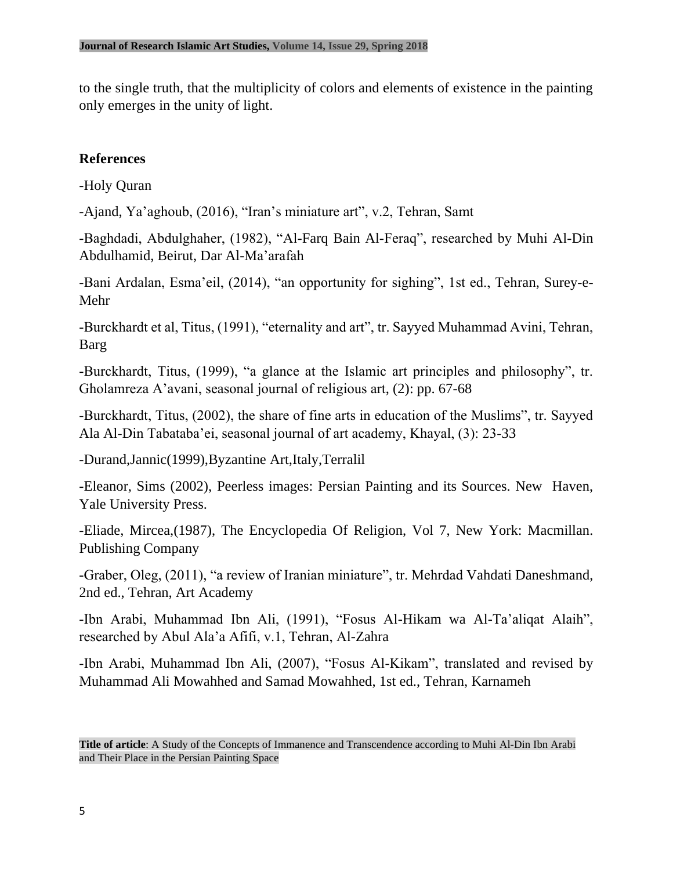to the single truth, that the multiplicity of colors and elements of existence in the painting only emerges in the unity of light.

## **References**

-Holy Quran

-Ajand, Ya'aghoub, (2016), "Iran's miniature art", v.2, Tehran, Samt

-Baghdadi, Abdulghaher, (1982), "Al-Farq Bain Al-Feraq", researched by Muhi Al-Din Abdulhamid, Beirut, Dar Al-Ma'arafah

-Bani Ardalan, Esma'eil, (2014), "an opportunity for sighing", 1st ed., Tehran, Surey-e-Mehr

-Burckhardt et al, Titus, (1991), "eternality and art", tr. Sayyed Muhammad Avini, Tehran, Barg

-Burckhardt, Titus, (1999), "a glance at the Islamic art principles and philosophy", tr. Gholamreza A'avani, seasonal journal of religious art, (2): pp. 67-68

-Burckhardt, Titus, (2002), the share of fine arts in education of the Muslims", tr. Sayyed Ala Al-Din Tabataba'ei, seasonal journal of art academy, Khayal, (3): 23-33

-Durand,Jannic(1999),Byzantine Art,Italy,Terralil

-Eleanor, Sims (2002), Peerless images: Persian Painting and its Sources. New Haven, Yale University Press.

-Eliade, Mircea,(1987), The Encyclopedia Of Religion, Vol 7, New York: Macmillan. Publishing Company

-Graber, Oleg, (2011), "a review of Iranian miniature", tr. Mehrdad Vahdati Daneshmand, 2nd ed., Tehran, Art Academy

-Ibn Arabi, Muhammad Ibn Ali, (1991), "Fosus Al-Hikam wa Al-Ta'aliqat Alaih", researched by Abul Ala'a Afifi, v.1, Tehran, Al-Zahra

-Ibn Arabi, Muhammad Ibn Ali, (2007), "Fosus Al-Kikam", translated and revised by Muhammad Ali Mowahhed and Samad Mowahhed, 1st ed., Tehran, Karnameh

**Title of article**: A Study of the Concepts of Immanence and Transcendence according to Muhi Al-Din Ibn Arabi and Their Place in the Persian Painting Space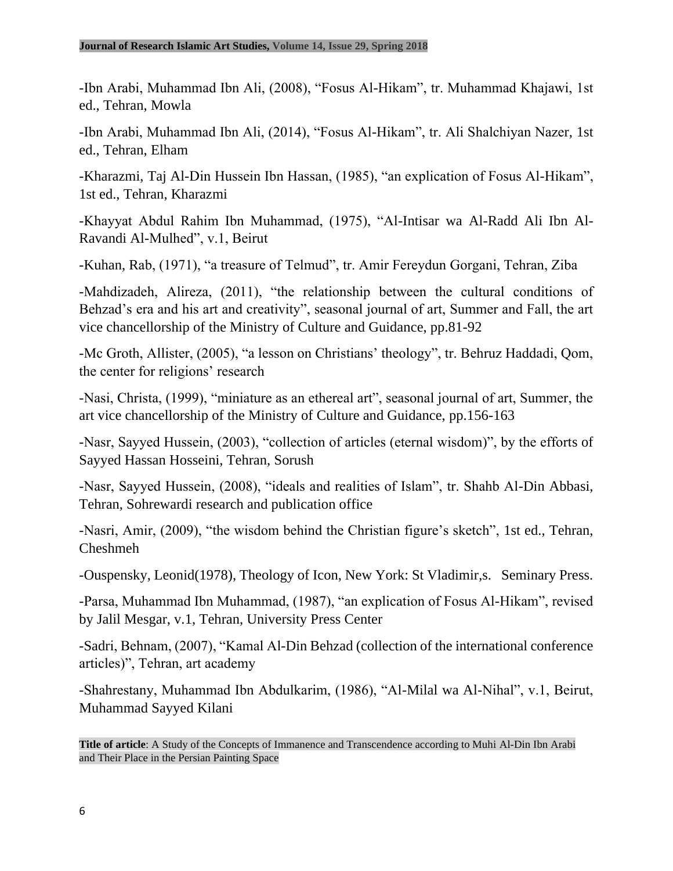-Ibn Arabi, Muhammad Ibn Ali, (2008), "Fosus Al-Hikam", tr. Muhammad Khajawi, 1st ed., Tehran, Mowla

-Ibn Arabi, Muhammad Ibn Ali, (2014), "Fosus Al-Hikam", tr. Ali Shalchiyan Nazer, 1st ed., Tehran, Elham

-Kharazmi, Taj Al-Din Hussein Ibn Hassan, (1985), "an explication of Fosus Al-Hikam", 1st ed., Tehran, Kharazmi

-Khayyat Abdul Rahim Ibn Muhammad, (1975), "Al-Intisar wa Al-Radd Ali Ibn Al-Ravandi Al-Mulhed", v.1, Beirut

-Kuhan, Rab, (1971), "a treasure of Telmud", tr. Amir Fereydun Gorgani, Tehran, Ziba

-Mahdizadeh, Alireza, (2011), "the relationship between the cultural conditions of Behzad's era and his art and creativity", seasonal journal of art, Summer and Fall, the art vice chancellorship of the Ministry of Culture and Guidance, pp.81-92

-Mc Groth, Allister, (2005), "a lesson on Christians' theology", tr. Behruz Haddadi, Qom, the center for religions' research

-Nasi, Christa, (1999), "miniature as an ethereal art", seasonal journal of art, Summer, the art vice chancellorship of the Ministry of Culture and Guidance, pp.156-163

-Nasr, Sayyed Hussein, (2003), "collection of articles (eternal wisdom)", by the efforts of Sayyed Hassan Hosseini, Tehran, Sorush

-Nasr, Sayyed Hussein, (2008), "ideals and realities of Islam", tr. Shahb Al-Din Abbasi, Tehran, Sohrewardi research and publication office

-Nasri, Amir, (2009), "the wisdom behind the Christian figure's sketch", 1st ed., Tehran, Cheshmeh

-Ouspensky, Leonid(1978), Theology of Icon, New York: St Vladimir,s. Seminary Press.

-Parsa, Muhammad Ibn Muhammad, (1987), "an explication of Fosus Al-Hikam", revised by Jalil Mesgar, v.1, Tehran, University Press Center

-Sadri, Behnam, (2007), "Kamal Al-Din Behzad (collection of the international conference articles)", Tehran, art academy

-Shahrestany, Muhammad Ibn Abdulkarim, (1986), "Al-Milal wa Al-Nihal", v.1, Beirut, Muhammad Sayyed Kilani

**Title of article**: A Study of the Concepts of Immanence and Transcendence according to Muhi Al-Din Ibn Arabi and Their Place in the Persian Painting Space